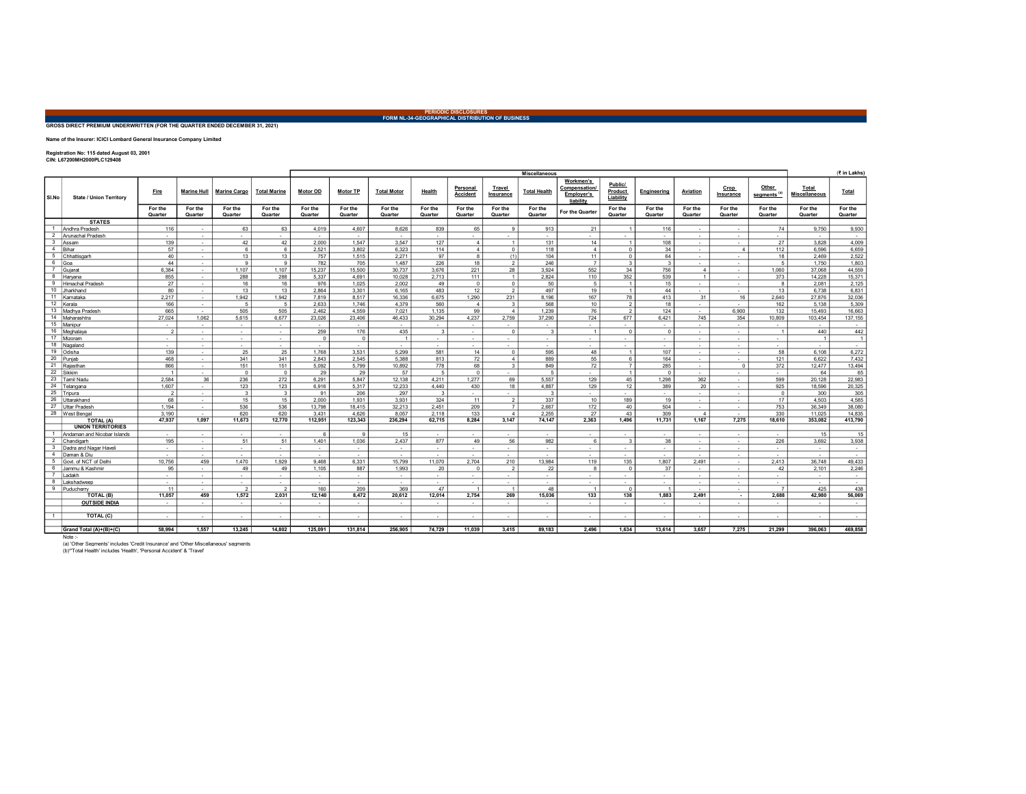PERIODIC DISCLOSURES FORM NL-34-GEOGRAPHICAL DISTRIBUTION OF BUSINESS

## GROSS DIRECT PREMIUM UNDERWRITTEN (FOR THE QUARTER ENDED DECEMBER 31, 2021)

Name of the Insurer: ICICI Lombard General Insurance Company Limited

Registration No: 115 dated August 03, 2001 CIN: L67200MH2000PLC129408

|                |                                |                          |                          |                     |                          | <b>Miscellaneous</b>     |                          |                                    |                    |                      |                                  |                     |                                                       | (₹ in Lakhs)                    |                    |                         |                          |                                   |                          |                    |
|----------------|--------------------------------|--------------------------|--------------------------|---------------------|--------------------------|--------------------------|--------------------------|------------------------------------|--------------------|----------------------|----------------------------------|---------------------|-------------------------------------------------------|---------------------------------|--------------------|-------------------------|--------------------------|-----------------------------------|--------------------------|--------------------|
| SI.No          | <b>State / Union Territory</b> | Fire                     | <b>Marine Hull</b>       | <b>Marine Cargo</b> | <b>Total Marine</b>      | Motor OD                 | Motor TP                 | <b>Total Motor</b>                 | Health             | Personal<br>Accident | Travel<br>Insurance              | <b>Total Health</b> | Workmen's<br>Compensation/<br>Employer's<br>liability | Public/<br>Product<br>Liability | Engineering        | Aviation                | Crop<br>Insurance        | Other<br>segments. <sup>(a)</sup> | Total<br>Miscellaneous   | Total              |
|                |                                | For the<br>Quarter       | For the<br>Quarter       | For the<br>Quarter  | For the<br>Quarter       | For the<br>Quarter       | For the<br>Quarter       | For the<br>Quarter                 | For the<br>Quarter | For the<br>Quarter   | For the<br>Quarter               | For the<br>Quarter  | For the Quarter                                       | For the<br>Quarter              | For the<br>Quarter | For the<br>Quarter      | For the<br>Quarter       | For the<br>Quarter                | For the<br>Quarter       | For the<br>Quarter |
|                | <b>STATES</b>                  |                          |                          |                     |                          |                          |                          |                                    |                    |                      |                                  |                     |                                                       |                                 |                    |                         |                          |                                   |                          |                    |
|                | Andhra Pradesh                 | 116                      | $\sim$                   | 63                  | 63                       | 4.019                    | 4,607                    | 8,626                              | 839                | 65                   | $\mathbf{q}$                     | 913                 | 21                                                    | $\overline{1}$                  | 116                | $\sim$                  | $\sim$                   | 74                                | 9.750                    | 9,930              |
| $\overline{2}$ | Arunachal Pradesh              | $\sim$                   | $\sim$                   | $\sim$              | $\sim$                   | $\sim$                   | $\sim$                   | $\sim$                             | $\sim$             | $\sim$               | $\sim$                           | $\sim$              | $\sim$                                                |                                 | $\sim$             | $\sim$                  | $\sim$                   | $\sim$                            | $\sim$                   | $\sim$             |
| 3              | Assam                          | 139                      | $\sim$                   | 42                  | 42                       | 2.000                    | 1,547                    | 3,547                              | 127                | $\overline{4}$       | $\overline{1}$                   | 131                 | 14                                                    | $\overline{1}$                  | 108                | $\sim$                  | $\sim$                   | 27                                | 3,828                    | 4,009              |
| $\overline{4}$ | Bihar                          | 57                       | $\sim$                   | 6                   | 6                        | 2.521                    | 3.802                    | 6.323                              | 114                | $\overline{4}$       | $\circ$                          | 118                 | $\overline{4}$                                        | $\Omega$                        | 34                 | $\sim$                  | $\overline{4}$           | 112                               | 6.596                    | 6.659              |
| 5              | Chhattisgarh                   | 40                       | $\overline{\phantom{a}}$ | 13                  | 13                       | 757                      | 1.515                    | 2.271                              | 97                 | $\mathbf{a}$         | (1)                              | 104                 | 11                                                    | $\Omega$                        | 64                 | $\sim$                  |                          | 18                                | 2.469                    | 2,522              |
| 6              | Goa                            | 44                       | $\sim$                   | $\mathbf{Q}$        | $\mathbf{Q}$             | 782                      | 705                      | 1,487                              | 226                | 18                   | $\overline{\phantom{a}}$         | 246                 | $\overline{7}$                                        | $\mathbf{a}$                    | $\mathcal{R}$      | $\sim$                  | $\sim$                   | 5                                 | 1,750                    | 1,803              |
| $\overline{7}$ | Gujara                         | 6,384                    | $\sim$                   | 1,107               | 1,107                    | 15,237                   | 15,500                   | 30,737                             | 3,676              | 221                  | 28                               | 3,924               | 552                                                   | 34                              | 756                | $\overline{4}$          | $\sim$                   | 1,060                             | 37,068                   | 44,559             |
| 8              | Harvana                        | 855                      | $\sim$                   | 288                 | 288                      | 5.337                    | 4.691                    | 10.028                             | 2.713              | 111                  | $\overline{1}$                   | 2.824               | 110                                                   | 352                             | 539                | $\overline{1}$          | $\overline{\phantom{a}}$ | 373                               | 14.228                   | 15,371             |
| $\mathbf{Q}$   | <b>Himachal Pradesh</b>        | 27                       | $\sim$                   | 16                  | 16                       | 976                      | 1,025                    | 2,002                              | 49                 | $\Omega$             | $\overline{0}$                   | 50                  | 5                                                     | $\overline{1}$                  | 15                 | $\sim$                  | $\sim$                   | 8                                 | 2,081                    | 2,125              |
| 10             | Jharkhand                      | 80                       | $\sim$                   | 13                  | 13                       | 2.864                    | 3,301                    | 6.165                              | 483                | 12                   | $\overline{2}$                   | 497                 | 19                                                    | $\overline{1}$                  | 44                 | $\sim$                  | $\sim$                   | 13                                | 6.738                    | 6,831              |
| 11             | Kamataka                       | 2,217                    | $\sim$                   | 1,942               | 1,942                    | 7,819                    | 8,517                    | 16,336                             | 6,675              | 1,290                | 231                              | 8,196               | 167                                                   | 78                              | 413                | 31                      | 16                       | 2,640                             | 27,876                   | 32,036             |
| 12             | Kerala                         | 166                      | $\sim$                   | 5                   | 5                        | 2,633                    | 1,746                    | 4,379                              | 560                | $\overline{4}$       | $\overline{\mathbf{3}}$          | 568                 | 10                                                    | $\overline{2}$                  | 18                 | $\sim$                  | $\sim$                   | 162                               | 5,138                    | 5,309              |
| 13             | Madhya Pradesh                 | 665                      | $\sim$                   | 505                 | 505                      | 2.462                    | 4.559                    | 7.021                              | 1,135              | 99                   | $\overline{4}$                   | 1,239               | 76                                                    | $\mathfrak{D}$                  | 124                | $\sim$                  | 6.900                    | 132                               | 15.493                   | 16,663             |
| 14             | Maharashtra                    | 27,024                   | 1,062                    | 5,615               | 6,677                    | 23,026                   | 23,406                   | 46,433                             | 30,294             | 4,237                | 2,759                            | 37,290              | 724                                                   | 677                             | 6,421              | 745                     | 354                      | 10,809                            | 103,454                  | 137,155            |
|                | 15 Manipur                     | $\sim$                   | $\sim$                   | $\sim$              | $\sim$                   | $\sim$                   | $\sim$                   | $\sim$                             | $\sim$             | $\sim$               | $\sim$                           | $\sim$              | $\sim$                                                | $\sim$                          | $\sim$             | $\sim$                  | $\sim$                   | $\sim$                            | $\sim$                   | $\sim$             |
|                | 16 Meghalaya                   | $\overline{2}$           | $\sim$                   | $\sim$              | $\sim$                   | 259                      | 176                      | 435                                | $\mathbf{3}$       | $\sim$               | $\overline{0}$                   | $\mathbf{3}$        | $\overline{1}$                                        | $\Omega$                        | $\circ$            | $\sim$                  | $\sim$                   | $\overline{1}$                    | 440                      | 442                |
|                | 17 Mizoram                     | $\sim$                   | $\sim$                   | $\sim$              | $\sim$                   | $\Omega$                 | $\Omega$                 | 1                                  | $\sim$             | $\sim$               | $\sim$                           | $\sim$              | $\sim$                                                | $\sim$                          | $\sim$             | $\sim$                  | $\sim$                   | $\sim$                            | $\overline{1}$           | 1                  |
|                | 18 Nagaland                    | $\sim$                   | $\sim$                   | $\sim$              | $\sim$                   | $\sim$                   | $\sim$                   | $\overline{\phantom{a}}$           | $\sim$             | $\sim$               | $\sim$                           | $\sim$              |                                                       | $\sim$                          | $\sim$             | $\sim$                  | $\sim$                   | $\sim$                            | $\sim$                   | $\sim$             |
| 19             | Odisha                         | 139                      | $\sim$                   | 25                  | 25                       | 1.768                    | 3,531                    | 5,299                              | 581                | 14                   | $\overline{0}$                   | 595                 | 48                                                    | $\overline{1}$                  | 107                | $\sim$                  | $\sim$                   | 58                                | 6,108                    | 6,272              |
|                | 20 Punjab                      | 468                      | $\sim$                   | 341                 | 341                      | 2,843                    | 2,545                    | 5,388                              | 813                | 72                   | $\overline{4}$                   | 889                 | 55                                                    | -6                              | 164                | $\sim$                  | $\sim$                   | 121                               | 6,622                    | 7,432              |
| 21             | Rajasthan                      | 866                      | $\sim$                   | 151                 | 151                      | 5.092                    | 5.799                    | 10.892                             | 778                | 68                   | $\overline{\mathbf{3}}$          | 849                 | 72                                                    | $\overline{7}$                  | 285                | $\sim$                  | $^{\circ}$               | 372                               | 12.477                   | 13.494             |
| 22             | Sikkim                         |                          | $\sim$                   | $\overline{0}$      | $\circ$                  | 29                       | 29                       | 57                                 | - 5                | $\mathbf{0}$         | $\sim$                           | 5                   | $\sim$                                                | $\overline{1}$                  | $\Omega$           | $\sim$                  | $\sim$                   | $\sim$                            | 64                       | 65                 |
| 23             | Tamil Nadu                     | 2,584                    | 36                       | 236                 | 272                      | 6,291                    | 5,847                    | 12,138                             | 4.211              | 1.277                | 69                               | 5,557               | 129                                                   | 45                              | 1,298              | 362                     | $\sim$                   | 599                               | 20,128                   | 22,983             |
| 24             | Telangana                      | 1.607                    | $\sim$                   | 123                 | 123                      | 6.916                    | 5.317                    | 12.233                             | 4.440              | 430                  | 18                               | 4.887               | 129                                                   | 12                              | 389                | 20                      | $\overline{\phantom{a}}$ | 925                               | 18.596                   | 20,325             |
| 25             | Tripura                        | $\overline{\phantom{a}}$ | $\sim$                   | $\mathbf{3}$        | 3                        | 91                       | 206                      | 297                                | $\mathbf{3}$       | $\sim$               | $\sim$                           | $\mathbf{3}$        | $\sim$                                                | $\sim$                          | $\sim$             | $\sim$                  | $\sim$                   | $^{\circ}$                        | 300                      | 305                |
| 26             | Uttarakhand                    | 68                       | $\sim$                   | 15                  | 15                       | 2.000                    | 1.931                    | 3.931                              | 324                | 11                   | $\overline{2}$<br>$\overline{7}$ | 337                 | 10                                                    | 189                             | 19                 | $\sim$                  | $\sim$                   | 17                                | 4.503                    | 4,585              |
| 27<br>28       | Uttar Pradesh                  | 1.194<br>3.190           | $\overline{\phantom{a}}$ | 536                 | 536                      | 13.798                   | 18.415                   | 32,213                             | 2.451              | 209                  | $\overline{4}$                   | 2.667               | 172                                                   | 40                              | 504                | $\sim$                  | $\sim$                   | 753                               | 36,349                   | 38,080<br>14,835   |
|                | West Bengal<br>TOTAL (A)       | 47,937                   | $\sim$<br>1,097          | 620<br>11,673       | 620<br>12,770            | 3,431<br>112,951         | 4,626<br>123,343         | 8,057<br>236,294                   | 2.118<br>62,715    | 133<br>8,284         | 3,147                            | 2,255<br>74,147     | 27<br>2.363                                           | 43<br>1,496                     | 309<br>11,731      | $\overline{4}$<br>1,167 | $\sim$<br>7,275          | 330<br>18,610                     | 11,025<br>353,082        | 413,790            |
|                | <b>UNION TERRITORIES</b>       |                          |                          |                     |                          |                          |                          |                                    |                    |                      |                                  |                     |                                                       |                                 |                    |                         |                          |                                   |                          |                    |
| $\mathbf{1}$   | Andaman and Nicobar Islands    |                          |                          |                     |                          | 6                        | $\alpha$                 |                                    |                    |                      |                                  |                     |                                                       |                                 |                    |                         |                          |                                   |                          |                    |
| $\overline{2}$ | Chandigarh                     | <b>Section</b><br>195    | $\sim$                   | $\sim$<br>51        | $\sim$<br>51             | 1.401                    | 1.036                    | 15<br>2.437                        | $\sim$<br>877      | $\sim$<br>49         | $\sim$<br>56                     | $\sim$<br>982       | $\sim$<br>$\epsilon$                                  | $\sim$<br>$\mathbf{r}$          | $\sim$<br>38       | $\sim$<br>$\sim$        | $\sim$<br>$\sim$         | $\sim$<br>226                     | 15<br>3.692              | 15<br>3,938        |
| 3              | Dadra and Nagar Haveli         |                          | $\sim$<br>$\sim$         |                     | $\sim$                   |                          | $\sim$                   |                                    | $\sim$             | $\sim$               |                                  | $\sim$              | $\sim$                                                | $\sim$                          |                    | $\sim$                  | $\sim$                   |                                   |                          | $\sim$             |
| $\overline{4}$ | Daman & Diu                    | $\sim$<br>$\sim$         | $\sim$                   | $\sim$<br>$\sim$    | $\overline{\phantom{a}}$ | $\sim$<br>$\sim$         | $\sim$                   | $\sim$<br>$\overline{\phantom{a}}$ | $\sim$             | $\sim$               | $\sim$<br>$\sim$                 |                     |                                                       |                                 | $\sim$<br>$\sim$   | $\sim$                  | $\sim$                   | $\sim$                            | $\sim$<br>$\sim$         | $\sim$             |
| $5 -$          | Govt. of NCT of Delhi          | 10.756                   | 459                      | 1.470               | 1,929                    | 9.468                    | 6,331                    | 15,799                             | 11.070             | 2.704                | 210                              | 13,984              | 119                                                   | 135                             | 1,807              | 2.491                   | $\sim$                   | 2.413                             | 36.748                   | 49,433             |
| 6              | Jammu & Kashmir                | 95                       | $\sim$                   | 49                  | 49                       | 1,105                    | 887                      | 1,993                              | 20                 | $\Omega$             | $\overline{2}$                   | 22                  | 8                                                     | $\Omega$                        | 37                 | $\sim$                  | $\sim$                   | 42                                | 2,101                    | 2,246              |
|                | Ladakh                         | $\sim$                   | $\sim$                   | $\sim$              | $\sim$                   | $\sim$                   | $\overline{\phantom{a}}$ | $\sim$                             | $\sim$             | $\sim$               | $\sim$                           | $\sim$              | $\sim$                                                | $\sim$                          | $\sim$             | $\sim$                  | $\sim$                   | $\sim$                            | $\sim$                   | $\sim$             |
| 8              | Lakshadweep                    | $\sim$                   | $\sim$                   | $\sim$              | $\sim$                   | $\sim$                   | $\overline{\phantom{a}}$ | $\sim$                             | $\sim$             | $\sim$               | $\sim$                           | $\sim$              | $\sim$                                                | $\sim$                          | $\sim$             | $\sim$                  | $\sim$                   | $\sim$                            | $\sim$                   | $\sim$             |
| 9              | Puducherry                     | 11                       | $\sim$                   | $\overline{2}$      | $\overline{2}$           | 160                      | 209                      | 369                                | 47                 | $\overline{1}$       | $\overline{1}$                   | 48                  | $\overline{1}$                                        | $\Omega$                        | - 1                | $\sim$                  | $\sim$                   | $\overline{7}$                    | 425                      | 438                |
|                | TOTAL (B)                      | 11,057                   | 459                      | 1,572               | 2,031                    | 12,140                   | 8,472                    | 20,612                             | 12,014             | 2,754                | 269                              | 15,036              | 133                                                   | 138                             | 1,883              | 2,491                   | $\overline{\phantom{a}}$ | 2,688                             | 42,980                   | 56,069             |
|                | <b>OUTSIDE INDIA</b>           | $\sim$ 100 $\sim$        | $\sim$                   | $\sim$              | $\sim$                   | $\sim$                   | $\sim$                   | $\sim$                             | $\sim$             | $\sim$               | $\sim$ 100 $\sim$                | $\sim$              | $\sim$                                                | $\sim$                          | $\sim$             | $\sim$                  | $\sim$                   | $\sim$                            | $\sim$                   | $\sim$ $-$         |
|                |                                |                          |                          |                     |                          |                          |                          |                                    |                    |                      |                                  |                     |                                                       |                                 |                    |                         |                          |                                   |                          |                    |
| 1              | TOTAL (C)                      | $\sim$                   | $\overline{\phantom{a}}$ |                     | $\overline{\phantom{a}}$ | $\overline{\phantom{a}}$ | $\sim$                   | $\overline{\phantom{a}}$           |                    |                      | $\sim$                           |                     |                                                       |                                 | $\sim$             | $\sim$                  |                          | $\sim$                            | $\overline{\phantom{a}}$ | $\sim$             |
|                |                                |                          |                          |                     |                          |                          |                          |                                    |                    |                      |                                  |                     |                                                       |                                 |                    |                         |                          |                                   |                          |                    |
|                | Grand Total (A)+(B)+(C)        | 58.994                   | 1.557                    | 13.245              | 14,802                   | 125.091                  | 131.814                  | 256.905                            | 74,729             | 11.039               | 3.415                            | 89.183              | 2.496                                                 | 1.634                           | 13.614             | 3,657                   | 7.275                    | 21,299                            | 396.063                  | 469,858            |

(a) 'Other Segments' includes 'Credit Insurance' and 'Other Miscellaneous' segments (b)\*'Total Health' includes 'Health', 'Personal Accident' & 'Travel'

Note :-